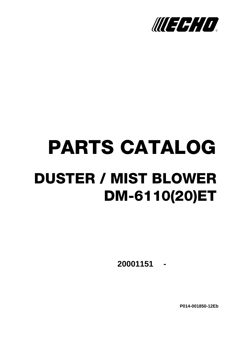

# PARTS CATALOG DUSTER / MIST BLOWER DM-6110(20)ET

**- 20001151**

**P014-001850-12Eb**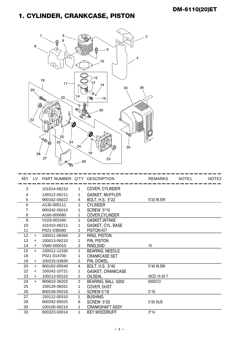#### 1. CYLINDER, CRANKCASE, PISTON



| <b>KEY</b> | LV. | PART NUMBER Q'TY DESCRIPTION |                |                          | <b>REMARKS</b>      | NOTE <sub>1</sub> | NOTE <sub>2</sub> |
|------------|-----|------------------------------|----------------|--------------------------|---------------------|-------------------|-------------------|
| 3          |     | 101514-06210                 | 1.             | <b>COVER, CYLINDER</b>   |                     |                   |                   |
| 4          |     | 145512-06211                 | 1              | <b>GASKET, MUFFLER</b>   |                     |                   |                   |
| 5          |     | 900162-05022                 | 4              | BOLT, H.S. 5*22          | 5*22 W.SW           |                   |                   |
| 6          |     | A130-000111                  | 1              | <b>CYLINDER</b>          |                     |                   |                   |
| 7          |     | 900242-05010                 | 1              | SCREW 5*10               |                     |                   |                   |
| 8          |     | A160-000680                  |                | COVER, CYLINDER          |                     |                   |                   |
| 9          |     | V103-001540                  |                | <b>GASKET, INTAKE</b>    |                     |                   |                   |
| 10         |     | 101010-06211                 | 1              | <b>GASKET, CYL. BASE</b> |                     |                   |                   |
| 11         |     | P021-038580                  | 1              | <b>PISTON KIT</b>        |                     |                   |                   |
| 12         | $+$ | 100011-08360                 | $\overline{2}$ | RING, PISTON             |                     |                   |                   |
| 13         | $+$ | 100013-06210                 | 1              | PIN, PISTON              |                     |                   |                   |
| 14         | $+$ | V580-000010                  | $\overline{2}$ | RING.END                 | 10                  |                   |                   |
| 15         | $+$ | 100012-12330                 | 1              | <b>BEARING, NEEDLE</b>   |                     |                   |                   |
| 18         |     | P021-014700                  | 1              | <b>CRANKCASE SET</b>     |                     |                   |                   |
| 19         | $+$ | 100215-03930                 | $\overline{2}$ | PIN. DOWEL               |                     |                   |                   |
| 20         | $+$ | 900162-05040                 | 4              | BOLT, H.S. 5*40          | 5*40 W.SW           |                   |                   |
| 22         | $+$ | 100242-10721                 | 1              | <b>GASKET, CRANKCASE</b> |                     |                   |                   |
| 23         | $+$ | 100213-00310                 | $\overline{2}$ | <b>OILSEAL</b>           | <b>ISCD 15 25 7</b> |                   |                   |
| 24         | $+$ | 900810-36202                 | 2              | BEARING, BALL 6202       | 6202/C3             |                   |                   |
| 25         |     | 159129-08261                 | 1              | <b>COVER, DUST</b>       |                     |                   |                   |
| 26         |     | 900238-05018                 | 1              | <b>SCREW 5*18</b>        | $5*18$              |                   |                   |
| 27         |     | 150112-00310                 | 1.             | <b>BUSHING</b>           |                     |                   |                   |
| 28         |     | 900292-05025                 | 6              | <b>SCREW 5*25</b>        | 5*25 SUS            |                   |                   |
| 30         |     | 100100-06210                 | 1              | <b>CRANKSHAFT ASSY</b>   |                     |                   |                   |
| 33         |     | 900323-03014                 | 1              | <b>KEY WOODRUFF</b>      | $3*14$              |                   |                   |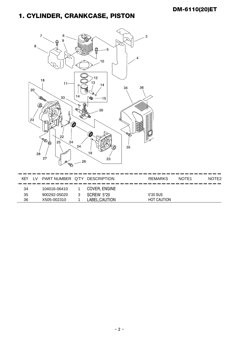#### 1. CYLINDER, CRANKCASE, PISTON



| KFY. | I V | PART NUMBER Q'TY DESCRIPTION<br>- 1 | ___      | _______<br>— 1 — 1 —<br>___<br>--<br>__ | <b>REMARKS</b><br><u>the community of the community of the community of the community of the community of the community of the community of the community of the community of the community of the community of the community of the community of </u><br>.<br>-- | NOTE <sub>1</sub> | NOTE <sub>2</sub> |
|------|-----|-------------------------------------|----------|-----------------------------------------|-------------------------------------------------------------------------------------------------------------------------------------------------------------------------------------------------------------------------------------------------------------------|-------------------|-------------------|
| 34   |     | 104016-06410                        | $\sim$ 1 | COVER, ENGINE                           |                                                                                                                                                                                                                                                                   |                   |                   |
| 35   |     | 900292-05020                        | 3        | SCREW 5*20                              | 5*20 SUS                                                                                                                                                                                                                                                          |                   |                   |
| 36   |     | X505-002310                         |          | LABEL.CAUTION                           | <b>HOT CAUTION</b>                                                                                                                                                                                                                                                |                   |                   |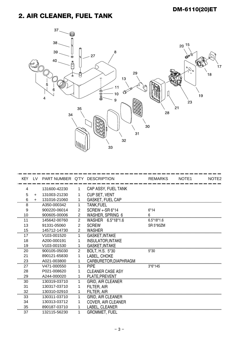## 2. AIR CLEANER, FUEL TANK



| <b>KEY</b> | IV. | PART NUMBER Q'TY DESCRIPTION |                |                           | <b>REMARKS</b> | NOTE <sub>1</sub> | NOTE <sub>2</sub> |
|------------|-----|------------------------------|----------------|---------------------------|----------------|-------------------|-------------------|
| 4          |     | 131600-42230                 | 1.             | CAP ASSY, FUEL TANK       |                |                   |                   |
| 5          | $+$ | 131003-21230                 | 1              | CUP SET, VENT             |                |                   |                   |
| 6          | $+$ | 131016-21060                 | $\mathbf{1}$   | <b>GASKET, FUEL CAP</b>   |                |                   |                   |
| 8          |     | A350-000342                  | 1              | <b>TANK, FUEL</b>         |                |                   |                   |
| 9          |     | 900220-06014                 | 2              | SCREW +-SR 6*14           | $6*14$         |                   |                   |
| 10         |     | 900605-00006                 | $\overline{2}$ | WASHER, SPRING 6          |                |                   |                   |
| 11         |     | 145642-00760                 | 2              | WASHER 6.5*18*1.6         | $6.5*18*1.6$   |                   |                   |
| 13         |     | 91331-05060                  | $\overline{2}$ | <b>SCREW</b>              | SR 5*60ZM      |                   |                   |
| 15         |     | 145712-14730                 | $\overline{2}$ | <b>WASHER</b>             |                |                   |                   |
| 17         |     | V103-001520                  | 1              | GASKET, INTAKE            |                |                   |                   |
| 18         |     | A200-000191                  |                | <b>INSULATOR, INTAKE</b>  |                |                   |                   |
| 19         |     | V <sub>103</sub> -001530     | 1              | <b>GASKET, INTAKE</b>     |                |                   |                   |
| 20         |     | 900105-05030                 | 2              | BOLT, H.S. 5*30           | $5*30$         |                   |                   |
| 21         |     | 890121-65830                 | 1              | LABEL, CHOKE              |                |                   |                   |
| 23         |     | A021-003800                  | 1              | CARBURETOR, DIAPHRAGM     |                |                   |                   |
| 27         |     | V471-000550                  | 1              | <b>PIPE</b>               | $3*6*145$      |                   |                   |
| 28         |     | P021-008620                  | 1              | <b>CLEANER CASE ASY</b>   |                |                   |                   |
| 29         |     | A244-000020                  | 1              | PLATE.PREVENT             |                |                   |                   |
| 30         |     | 130319-03710                 | 1              | <b>GRID, AIR CLEANER</b>  |                |                   |                   |
| 31         |     | 130317-03710                 | 1              | FILTER, AIR               |                |                   |                   |
| 32         |     | 130310-02910                 | 1              | <b>FILTER, AIR</b>        |                |                   |                   |
| 33         |     | 130311-03710                 |                | <b>GRID, AIR CLEANER</b>  |                |                   |                   |
| 34         |     | 130313-03712                 |                | <b>COVER, AIR CLEANER</b> |                |                   |                   |
| 35         |     | 890187-03710                 |                | LABEL, CLEANER            |                |                   |                   |
| 37         |     | 132115-56230                 |                | <b>GROMMET, FUEL</b>      |                |                   |                   |
|            |     |                              |                |                           |                |                   |                   |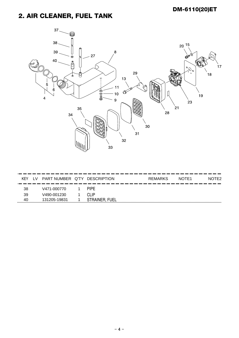## 2. AIR CLEANER, FUEL TANK



| KFY | I V | PART NUMBER Q'TY |    | <b>DESCRIPTION</b>                             | REMARKS         | NOTE <sub>1</sub> | )TF2<br>NC |
|-----|-----|------------------|----|------------------------------------------------|-----------------|-------------------|------------|
| 38  |     | V471-000770      | -- | ---<br>__<br>____<br>- -<br>___<br><b>PIPF</b> | ___<br>--<br>__ |                   |            |
| 39  |     | V490-001230      |    | CI IP                                          |                 |                   |            |
| 40  |     | 131205-19831     |    | <b>FUEL</b><br>STRAINER.                       |                 |                   |            |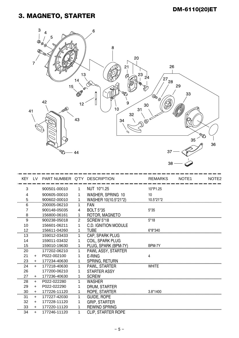#### 3. MAGNETO, STARTER



| <b>KEY</b> | LV.       | PART NUMBER Q'TY DESCRIPTION |                |                             | <b>REMARKS</b> | NOTE <sub>1</sub> | NOTE <sub>2</sub> |
|------------|-----------|------------------------------|----------------|-----------------------------|----------------|-------------------|-------------------|
|            |           | 900501-00010                 |                | NUT 10*1.25                 | 10*P1.25       |                   |                   |
| 3          |           |                              | 1              |                             |                |                   |                   |
| 4          |           | 900605-00010                 | 1              | WASHER, SPRING 10           | 10             |                   |                   |
| 5          |           | 900602-00010                 | 1              | WASHER 10(10.5*21*2)        | 10.5*21*2      |                   |                   |
| 6          |           | 200005-06210                 | $\mathbf{1}$   | <b>FAN</b>                  |                |                   |                   |
| 7          |           | 900148-05035                 | 4              | <b>BOLT 5*35</b>            | 5*35           |                   |                   |
| 8          |           | 156800-06161                 | 1              | ROTOR, MAGNETO              |                |                   |                   |
| 9          |           | 900238-05018                 | $\overline{2}$ | <b>SCREW 5*18</b>           | $5*18$         |                   |                   |
| 10         |           | 156601-06211                 | 1              | <b>C.D. IGNITION MODULE</b> |                |                   |                   |
| 12         |           | 156611-04260                 | 1              | <b>TUBE</b>                 | 6*8*340        |                   |                   |
| 13         |           | 159012-03433                 | 1              | CAP, SPARK PLUG             |                |                   |                   |
| 14         |           | 159011-03432                 | 1              | <b>COIL, SPARK PLUG</b>     |                |                   |                   |
| 15         |           | 159010-19630                 | 1              | PLUG, SPARK (BPM-7Y)        | BPM-7Y         |                   |                   |
| 20         |           | 177202-06210                 | 1              | PAWL ASSY, STARTER          |                |                   |                   |
| 21         | $+$       | P022-002100                  | 1              | E-RING                      | 4              |                   |                   |
| 23         | $+$       | 177234-40630                 | 1              | <b>SPRING, RETURN</b>       |                |                   |                   |
| 24         | $+$       | 177218-40630                 | 1              | PAWL, STARTER               | <b>WHITE</b>   |                   |                   |
| 26         |           | 177200-06210                 | 1              | <b>STARTER ASSY</b>         |                |                   |                   |
| 27         | $+$       | 177236-40630                 | $\mathbf 1$    | <b>SCREW</b>                |                |                   |                   |
| 28         | $+$       | P022-022280                  | 1              | <b>WASHER</b>               |                |                   |                   |
| 29         | $\ddot{}$ | P022-022290                  | 1              | DRUM, STARTER               |                |                   |                   |
| 30         | $+$       | 177226-11120                 | 1              | ROPE, STARTER               | $3.8*1400$     |                   |                   |
| 31         | $\ddot{}$ | 177227-42030                 | 1              | <b>GUIDE, ROPE</b>          |                |                   |                   |
| 32         | $\ddot{}$ | 177228-11120                 | 1              | <b>GRIP, STARTER</b>        |                |                   |                   |
| 33         | $\ddot{}$ | 177220-11120                 | 1              | <b>REWIND SPRING</b>        |                |                   |                   |
| 34         | $\ddot{}$ | 177246-11120                 |                | <b>CLIP, STARTER ROPE</b>   |                |                   |                   |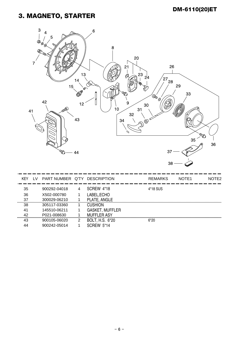#### 3. MAGNETO, STARTER

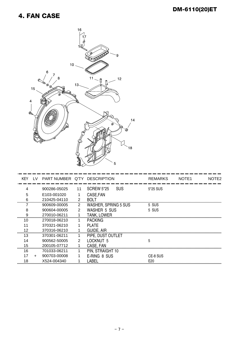#### 4. FAN CASE



| <b>KEY</b> | LV. | PART NUMBER Q'TY DESCRIPTION |    |                                 | <b>REMARKS</b>  | NOTE <sub>1</sub> | NOTE <sub>2</sub> |
|------------|-----|------------------------------|----|---------------------------------|-----------------|-------------------|-------------------|
| 4          |     | 900286-05025                 | 11 | <b>SCREW 5*25</b><br><b>SUS</b> | 5*25 SUS        |                   |                   |
| 5          |     | E103-001020                  |    | CASE, FAN                       |                 |                   |                   |
| 6          |     | 210425-04110                 | 2  | <b>BOLT</b>                     |                 |                   |                   |
|            |     | 900609-00005                 | 2  | <b>WASHER, SPRING 5 SUS</b>     | 5 SUS           |                   |                   |
| 8          |     | 900604-00005                 | 2  | <b>WASHER 5 SUS</b>             | 5 SUS           |                   |                   |
| 9          |     | 270010-06211                 |    | <b>TANK, LOWER</b>              |                 |                   |                   |
| 10         |     | 270018-06210                 | 1  | <b>PACKING</b>                  |                 |                   |                   |
| 11         |     | 370321-06210                 |    | <b>PLATE</b>                    |                 |                   |                   |
| 12         |     | 370316-06210                 |    | <b>GUIDE, AIR</b>               |                 |                   |                   |
| 13         |     | 370301-06211                 |    | PIPE, DUST OUTLET               |                 |                   |                   |
| 14         |     | 900562-50005                 | 2  | LOCKNUT <sub>5</sub>            | 5               |                   |                   |
| 15         |     | 200105-07712                 |    | CASE, FAN                       |                 |                   |                   |
| 16         |     | 701033-06211                 |    | PIN, STRAIGHT 10                |                 |                   |                   |
| 17         | $+$ | 900703-00008                 |    | E-RING 8 SUS                    | CE-8 SUS        |                   |                   |
| 18         |     | X524-004340                  |    | LABEL                           | E <sub>20</sub> |                   |                   |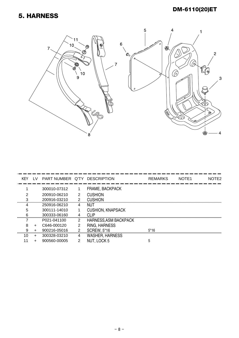#### 5. HARNESS

#### DM-6110(20)ET



| <b>KEY</b> | LV.   | PART NUMBER Q'TY DESCRIPTION |   |                          | <b>REMARKS</b> | NOTE <sub>1</sub> | NOTE2 |
|------------|-------|------------------------------|---|--------------------------|----------------|-------------------|-------|
|            |       | 300010-07312                 |   | FRAME, BACKPACK          |                |                   |       |
|            |       | 200910-06210                 | 2 | <b>CUSHION</b>           |                |                   |       |
| з          |       | 200916-03210                 | 2 | <b>CUSHION</b>           |                |                   |       |
|            |       | 250916-06210                 | 4 | NUT                      |                |                   |       |
| 5          |       | 300111-14010                 |   | <b>CUSHION, KNAPSACK</b> |                |                   |       |
|            |       | 300333-06160                 | 4 | CLIP                     |                |                   |       |
|            |       | P021-041100                  | 2 | HARNESS, ASM BACKPACK    |                |                   |       |
| 8          | $\pm$ | C646-000120                  | 2 | RING, HARNESS            |                |                   |       |
| я          | +     | 900216-05016                 | 2 | <b>SCREW, 5*16</b>       | $5*16$         |                   |       |
| 10         | +     | 300328-03210                 | 4 | <b>WASHER, HARNESS</b>   |                |                   |       |
|            |       | 900560-00005                 | 2 | NUT, LOCK 5              | 5              |                   |       |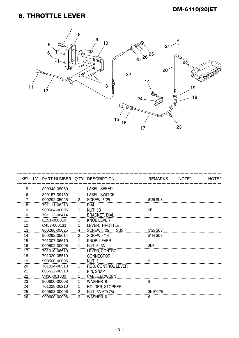#### 6. THROTTLE LEVER



| <b>KEY</b> | I V | PART NUMBER Q'TY DESCRIPTION |                |                                 | <b>REMARKS</b> | NOTE <sub>1</sub> | NOTE <sub>2</sub> |
|------------|-----|------------------------------|----------------|---------------------------------|----------------|-------------------|-------------------|
| 5          |     | 890348-05060                 |                | LABEL, SPEED                    |                |                   |                   |
| 6          |     | 890157-39130                 |                | LABEL, SWITCH                   |                |                   |                   |
| 7          |     | 900292-05025                 | 2              | <b>SCREW 5*25</b>               | 5*25 SUS       |                   |                   |
| 8          |     | 701111-06213                 | 1              | <b>DIAL</b>                     |                |                   |                   |
| 9          |     | 900504-00005                 | 2              | NUT 5B                          | 5B             |                   |                   |
| 10         |     | 701112-06414                 | $\mathbf{1}$   | <b>BRACKET, DIAL</b>            |                |                   |                   |
| 11         |     | E151-000010                  | 1              | <b>KNOB,LEVER</b>               |                |                   |                   |
| 12         |     | C453-000131                  |                | LEVER, THROTTLE                 |                |                   |                   |
| 13         |     | 900286-05025                 | 4              | <b>SCREW 5*25</b><br><b>SUS</b> | 5*25 SUS       |                   |                   |
| 14         |     | 900292-05014                 | $\overline{2}$ | <b>SCREW 5*14</b>               | 5*14 SUS       |                   |                   |
| 15         |     | 701007-06610                 | 1              | <b>KNOB, LEVER</b>              |                |                   |                   |
| 16         |     | 900502-00006                 |                | <b>NUT 6 (3N)</b>               | 3N6            |                   |                   |
| 17         |     | 701010-06610                 | 1              | LEVER, CONTROL                  |                |                   |                   |
| 18         |     | 701020-05510                 |                | <b>CONNECTOR</b>                |                |                   |                   |
| 19         |     | 900500-00005                 | 1              | NUT <sub>5</sub>                | 5              |                   |                   |
| 20         |     | 701014-06510                 | 1              | ROD, CONTROL LEVER              |                |                   |                   |
| 21         |     | 605612-06510                 | 1              | PIN, SNAP                       |                |                   |                   |
| 22         |     | V430-001330                  |                | CABLE, BOWDEN                   |                |                   |                   |
| 23         |     | 900600-00008                 | 1              | <b>WASHER 8</b>                 | 8              |                   |                   |
| 24         |     | 701028-06210                 |                | HOLDER, STOPPER                 |                |                   |                   |
| 25         |     | 900503-00006                 | $\overline{2}$ | NUT (3N 6*0.75)                 | 3N 6*0.75      |                   |                   |
| 26         |     | 900600-00006                 | 2              | <b>WASHER 6</b>                 | 6              |                   |                   |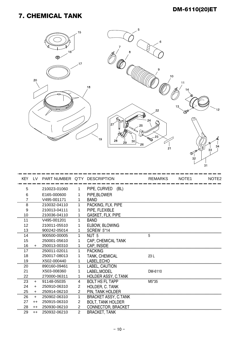#### 7. CHEMICAL TANK



| 5              |      | 210023-01060 | 1              | PIPE, CURVED<br>(BL)        |         |  |
|----------------|------|--------------|----------------|-----------------------------|---------|--|
| 6              |      | E165-000600  |                | PIPE, BLOWER                |         |  |
| $\overline{7}$ |      | V495-001171  | 1              | <b>BAND</b>                 |         |  |
| 8              |      | 210032-04110 | 1              | PACKING, FLX. PIPE          |         |  |
| 9              |      | 210013-04111 | 1              | PIPE, FLEXIBLE              |         |  |
| 10             |      | 210036-04110 |                | <b>GASKET, FLX. PIPE</b>    |         |  |
| 11             |      | V495-001201  |                | <b>BAND</b>                 |         |  |
| 12             |      | 210011-05510 | 1              | ELBOW, BLOWING              |         |  |
| 13             |      | 900242-05014 |                | SCREW 5*14                  |         |  |
| 14             |      | 900500-00005 |                | NUT <sub>5</sub>            | 5       |  |
| 15             |      | 250001-05610 |                | CAP, CHEMICAL TANK          |         |  |
| 16             | $+$  | 250013-00310 | 1              | CAP, INSIDE                 |         |  |
| 17             |      | 250011-02011 |                | <b>PACKING</b>              |         |  |
| 18             |      | 250017-08013 |                | TANK, CHEMICAL              | 23 L    |  |
| 19             |      | X502-000440  |                | LABEL, ECHO                 |         |  |
| 20             |      | 890160-09461 | 1              | LABEL, CAUTION              |         |  |
| 21             |      | X503-008360  | 1              | LABEL, MODEL                | DM-6110 |  |
| 22             |      | 270000-06311 | $\mathbf{1}$   | <b>HOLDER ASSY, C.TANK</b>  |         |  |
| 23             | $+$  | 91148-05035  | 4              | <b>BOLT HS FL TAPP</b>      | M5*35   |  |
| 24             | $+$  | 250910-06310 | $\overline{2}$ | HOLDER, C. TANK             |         |  |
| 25             | $+$  | 250914-06210 | $\overline{2}$ | PIN, TANK HOLDER            |         |  |
| 26             | $+$  | 250902-06310 | 1              | <b>BRACKET ASSY, C.TANK</b> |         |  |
| 27             | $++$ | 250915-06310 | $\overline{2}$ | <b>BOLT, TANK HOLDER</b>    |         |  |
| 28             | $++$ | 250930-06210 | 2              | <b>CONNECTOR, BRACKET</b>   |         |  |
| 29             | $++$ | 250932-06210 | 2              | <b>BRACKET, TANK</b>        |         |  |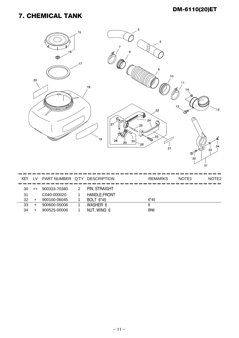#### 7. CHEMICAL TANK

| 20                                  | 16 <sup>2</sup><br>Ç                        | 15<br>.17<br>18<br>19                                                          | 5<br>8<br>27<br>ß<br>28<br>$30\,$<br>29 | $\,6$<br>9<br>$10$<br>22<br>24<br>25<br>$\sqrt[3]{\frac{23}{2}}$<br>26<br>21 | 11<br>14<br>13<br><b>OP</b><br>জ<br>32 | 12<br>≰<br>Ó.<br>34<br>33<br>31 |
|-------------------------------------|---------------------------------------------|--------------------------------------------------------------------------------|-----------------------------------------|------------------------------------------------------------------------------|----------------------------------------|---------------------------------|
| KEY LV                              | PART NUMBER Q'TY DESCRIPTION                |                                                                                |                                         | <b>REMARKS</b>                                                               | NOTE1                                  | NOTE <sub>2</sub>               |
| 30<br>$++$<br>31<br>32<br>$\ddot{}$ | 900333-70380<br>C040-000020<br>900100-06045 | PIN, STRAIGHT<br>$\overline{2}$<br>HANDLE, FRONT<br>1<br><b>BOLT 6*45</b><br>1 |                                         | $6*45$                                                                       |                                        |                                 |

32 + 900100-06045 1 BOLT 6\*45<br>33 + 900600-00006 1 WASHER 6<br>34 + 900525-00006 1 NUT, WING 6 BN6 NUT, WING 6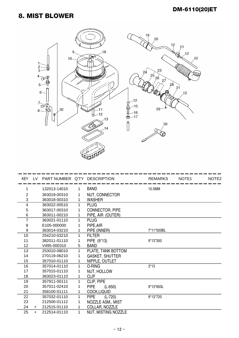#### 8. MIST BLOWER



| <b>KEY</b>     |           | LV PART NUMBER Q'TY DESCRIPTION |             |                          | <b>REMARKS</b> | NOTE <sub>1</sub> | NOTE <sub>2</sub> |
|----------------|-----------|---------------------------------|-------------|--------------------------|----------------|-------------------|-------------------|
| 1              |           | 132013-14010                    | 1.          | <b>BAND</b>              | 10.5MM         |                   |                   |
| $\overline{2}$ |           | 363019-00310                    | 1           | NUT, CONNECTOR           |                |                   |                   |
| 3              |           | 363018-00310                    | 1           | <b>WASHER</b>            |                |                   |                   |
| 4              |           | 363022-00510                    | $\mathbf 1$ | <b>PLUG</b>              |                |                   |                   |
| 5              |           | 363017-00310                    | 1           | CONNECTOR, PIPE          |                |                   |                   |
|                |           | 363011-00210                    | $\mathbf 1$ | PIPE, AIR (OUTER)        |                |                   |                   |
|                |           | 363021-01110                    | $\mathbf 1$ | <b>PLUG</b>              |                |                   |                   |
| 8              |           | E105-000000                     | 1           | PIPE, AIR                |                |                   |                   |
| 9              |           | 363014-03210                    | 1           | PIPE (INNER)             | 7*11*500BL     |                   |                   |
| 10             |           | 254210-03210                    | 1.          | <b>FILTER</b>            |                |                   |                   |
| 11             |           | 382011-01110                    |             | PIPE (9*13)              | 9*13*350       |                   |                   |
| 12             |           | V495-000310                     | 5           | <b>BAND</b>              |                |                   |                   |
| 13             |           | 253010-08010                    | 1           | PLATE, TANK BOTTOM       |                |                   |                   |
| 14             |           | 270119-06210                    | 1           | <b>GASKET, SHUTTER</b>   |                |                   |                   |
| 15             |           | 357010-01110                    | 1           | NIPPLE, OUTLET           |                |                   |                   |
| 16             |           | 357014-01110                    | 1.          | O-RING                   | $3*13$         |                   |                   |
| 17             |           | 357015-01110                    | 1           | NUT, HOLLOW              |                |                   |                   |
| 18             |           | 363023-01110                    | 1           | <b>CLIP</b>              |                |                   |                   |
| 19             |           | 357911-00111                    | 1           | CLIP, PIPE               |                |                   |                   |
| 20             |           | 357011-02410                    | 1           | <b>PIPE</b><br>$(L-650)$ | 9*13*650L      |                   |                   |
| 21             |           | 358100-01111                    | 1           | <b>COCK.LIQUID</b>       |                |                   |                   |
| 22             |           | 357032-01110                    | 1           | <b>PIPE</b><br>$(L-720)$ | 9*13*720       |                   |                   |
| 23             |           | 212500-01112                    | 1           | NOZZLE ASM., MIST        |                |                   |                   |
| 24             | $+$       | 212515-01110                    | 1           | COLLAR, NOZZLE           |                |                   |                   |
| 25             | $\ddot{}$ | 212514-01110                    |             | NUT, MISTING NOZZLE      |                |                   |                   |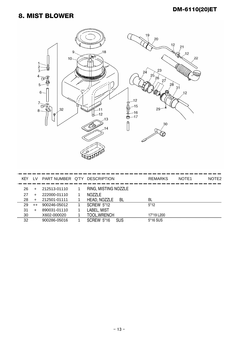#### 8. MIST BLOWER



| <b>KFY</b> | LV.     | PART NUMBER Q'TY | <b>DESCRIPTION</b>   | <b>REMARKS</b> | NOTE <sub>1</sub> | NOTF2 |
|------------|---------|------------------|----------------------|----------------|-------------------|-------|
| 26         | $+$     | 212513-01110     | RING, MISTING NOZZLE |                |                   |       |
| 27         | +       | 222000-01110     | <b>NOZZLE</b>        |                |                   |       |
| 28         | $\pm$   | 212501-01111     | HEAD, NOZZLE<br>-BI  | <b>BL</b>      |                   |       |
| 29         | $^{++}$ | 900246-05012     | SCREW 5*12           | $5*12$         |                   |       |
| 31         |         | 890031-01110     | LABEL, MIST          |                |                   |       |
| 30         |         | X602-000020      | <b>TOOL, WRENCH</b>  | 17*19 L200     |                   |       |
| 32         |         | 900286-05016     | $SCRFW5*16$<br>SUS   | 5*16 SUS       |                   |       |
|            |         |                  |                      |                |                   |       |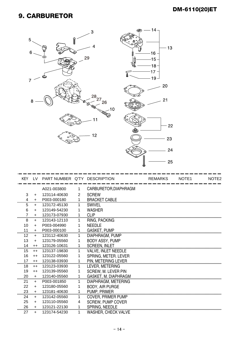#### 9. CARBURETOR





| <b>KEY</b>     | LV        | PART NUMBER Q'TY DESCRIPTION |              |                            | <b>REMARKS</b> | NOTE <sub>1</sub> | NOTE <sub>2</sub> |
|----------------|-----------|------------------------------|--------------|----------------------------|----------------|-------------------|-------------------|
|                |           | A021-003800                  | 1            | CARBURETOR, DIAPHRAGM      |                |                   |                   |
| 3              | $\ddot{}$ | 123114-40630                 | 2            | <b>SCREW</b>               |                |                   |                   |
| 4              | $+$       | P003-000180                  | $\mathbf{1}$ | <b>BRACKET CABLE</b>       |                |                   |                   |
| 5              | $\ddot{}$ | 123172-45130                 | 1            | <b>SWIVEL</b>              |                |                   |                   |
| 6              | $+$       | 123149-54230                 | 1            | <b>WASHER</b>              |                |                   |                   |
| $\overline{7}$ | $+$       | 123173-07930                 | $\mathbf{1}$ | <b>CLIP</b>                |                |                   |                   |
| 8              | $+$       | 123143-12110                 | 1            | RING, PACKING              |                |                   |                   |
| 10             | $+$       | P003-004990                  | 1            | <b>NEEDLE</b>              |                |                   |                   |
| 11             | $+$       | P003-000100                  | 1            | <b>GASKET, PUMP</b>        |                |                   |                   |
| 12             | $+$       | 123112-40630                 | 1.           | DIAPHRAGM, PUMP            |                |                   |                   |
| 13             | $+$       | 123179-05560                 | 1            | <b>BODY ASSY, PUMP</b>     |                |                   |                   |
| 14             | $++$      | 123126-10631                 | $\mathbf{1}$ | <b>SCREEN, INLET</b>       |                |                   |                   |
| 15             | $++$      | 123137-19830                 | $\mathbf 1$  | <b>VALVE, INLET NEEDLE</b> |                |                   |                   |
| 16             | $++$      | 123122-05560                 | 1            | SPRING, METER. LEVER       |                |                   |                   |
| 17             | $++$      | 123138-03930                 | $\mathbf{1}$ | PIN, METERING LEVER        |                |                   |                   |
| 18             | $++$      | 123123-03930                 | $\mathbf{1}$ | LEVER, METERING            |                |                   |                   |
| 19             | $++$      | 123139-05560                 | 1            | <b>SCREW, M. LEVER PIN</b> |                |                   |                   |
| 20             | $+$       | 123140-05560                 | $\mathbf{1}$ | GASKET, M. DIAPHRAGM       |                |                   |                   |
| 21             | $+$       | P003-001850                  | $\mathbf{1}$ | DIAPHRAGM, METERING        |                |                   |                   |
| 22             | $+$       | 123180-05560                 | 1            | <b>BODY, AIR PURGE</b>     |                |                   |                   |
| 23             | $+$       | 123181-40630                 | $\mathbf{1}$ | <b>PUMP, PRIMER</b>        |                |                   |                   |
| 24             | $+$       | 123142-05560                 | 1            | <b>COVER, PRIMER PUMP</b>  |                |                   |                   |
| 25             | $+$       | 123110-05560                 | 4            | <b>SCREW, PUMP COVER</b>   |                |                   |                   |
| 26             | $+$       | 123121-22130                 | $\mathbf{1}$ | SPRING, NEEDLE             |                |                   |                   |
| 27             | $+$       | 123174-54230                 | 1            | <b>WASHER, CHECK VALVE</b> |                |                   |                   |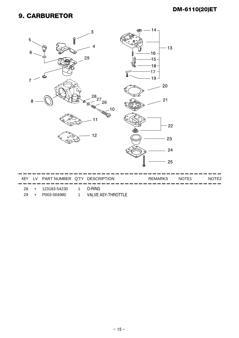#### 9. CARBURETOR



- 29 + P003-004980 1 VALVE ASY-THROTTLE
-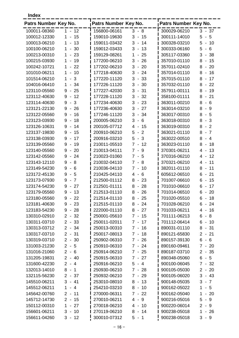**Index**

| Patrs Number Key No. |                                               | Patrs Number Key No. |                                                 | <b>Patrs Number Key No.</b> |                                       |
|----------------------|-----------------------------------------------|----------------------|-------------------------------------------------|-----------------------------|---------------------------------------|
| 100011-08360         | $1 - 12$                                      | 156800-06161         | $3 - 8$                                         | 300029-06210                | $3 - 37$                              |
| 100012-12330         | 15<br>1<br>$\overline{\phantom{a}}$           | 159010-19630         | 3<br>15<br>$\blacksquare$                       | 300111-14010                | 5<br>5<br>$\sim$                      |
| 100013-06210         | 13<br>1<br>$\overline{\phantom{a}}$           | 159011-03432         | 3<br>14<br>$\blacksquare$                       | 300328-03210                | 5<br>10<br>$\overline{\phantom{a}}$   |
| 100100-06210         | 30<br>1<br>$\overline{\phantom{a}}$           | 159012-03433         | 3<br>13<br>$\overline{\phantom{a}}$             | 300333-06160                | 5<br>6<br>$\blacksquare$              |
| 100213-00310         | 23<br>$\mathbf 1$<br>$\blacksquare$           | 159129-08261         | 1<br>25<br>$\blacksquare$                       | 305117-03360                | 3<br>38<br>$\overline{\phantom{a}}$   |
| 100215-03930         | 19<br>$\mathbf 1$<br>$\overline{\phantom{a}}$ | 177200-06210         | 3<br>26<br>$\overline{\phantom{a}}$             | 357010-01110                | 8<br>15<br>$\overline{\phantom{a}}$   |
| 100242-10721         | 22<br>1<br>$\blacksquare$                     | 177202-06210         | 3<br>20<br>$\blacksquare$                       | 357011-02410                | 8<br>20<br>$\blacksquare$             |
| 101010-06211         | 10<br>1<br>$\overline{\phantom{0}}$           | 177218-40630         | 24<br>3<br>$\overline{\phantom{a}}$             | 357014-01110                | 8<br>16<br>$\overline{\phantom{a}}$   |
| 101514-06210         | 3<br>1<br>$\blacksquare$                      | 177220-11120         | 3<br>$-33$                                      | 357015-01110                | 17<br>8<br>$\overline{\phantom{a}}$   |
| 104016-06410         | 34<br>1<br>$\sim$                             | 177226-11120         | 3<br>30<br>$\overline{\phantom{a}}$             | 357032-01110                | 22<br>8<br>$\overline{\phantom{a}}$   |
| 123110-05560         | $-25$<br>9                                    | 177227-42030         | 3<br>31<br>$\overline{\phantom{a}}$             | 357911-00111                | 8<br>19<br>$\overline{\phantom{a}}$   |
| 123112-40630         | 12<br>9<br>$\overline{\phantom{a}}$           | 177228-11120         | 3<br>$-32$                                      | 358100-01111                | 8<br>21<br>$\overline{\phantom{a}}$   |
| 123114-40630         | 3<br>9<br>$\overline{\phantom{a}}$            | 177234-40630         | 3<br>23<br>$\overline{\phantom{a}}$             | 363011-00210                | 8<br>$\sim$<br>6                      |
| 123121-22130         | 26<br>9<br>$\overline{\phantom{a}}$           | 177236-40630         | $-27$<br>3                                      | 363014-03210                | 8<br>9<br>$\blacksquare$              |
| 123122-05560         | 16<br>9<br>$\blacksquare$                     | 177246-11120         | 3<br>34<br>$\overline{\phantom{a}}$             | 363017-00310                | 8<br>- 5                              |
| 123123-03930         | 18<br>9<br>$\overline{\phantom{a}}$           | 200005-06210         | 3<br>6<br>$\overline{\phantom{a}}$              | 363018-00310                | 8<br>3<br>$\overline{\phantom{a}}$    |
| 123126-10631         | 9<br>14<br>$\blacksquare$                     | 200105-07712         | 4<br>-15<br>$\overline{\phantom{a}}$            | 363019-00310                | 8<br>$\overline{2}$<br>$\sim$         |
| 123137-19830         | 15<br>9<br>$\blacksquare$                     | 200910-06210         | 5<br>$\overline{2}$<br>$\overline{\phantom{a}}$ | 363021-01110                | $-7$<br>8                             |
| 123138-03930         | 17<br>9<br>$\overline{\phantom{a}}$           | 200916-03210         | 5<br>3<br>$\blacksquare$                        | 363022-00510                | 8<br>$\overline{4}$<br>$\blacksquare$ |
| 123139-05560         | 19<br>9<br>$\blacksquare$                     | 210011-05510         | $\overline{7}$<br>12<br>$\blacksquare$          | 363023-01110                | 8<br>18<br>$\overline{\phantom{a}}$   |
| 123140-05560         | 20<br>9<br>$\overline{\phantom{a}}$           | 210013-04111         | $7 -$<br>9                                      | 370301-06211                | 4 -<br>13                             |
| 123142-05560         | 24<br>9<br>$\blacksquare$                     | 210023-01060         | $7 - 5$                                         | 370316-06210                | 12<br>4 -                             |
| 123143-12110         | 8<br>9<br>$\overline{\phantom{a}}$            | 210032-04110         | $7 -$<br>8                                      | 370321-06210                | 11<br>4<br>$\overline{\phantom{a}}$   |
| 123149-54230         | 9<br>6<br>$\blacksquare$                      | 210036-04110         | $7 -$<br>10                                     | 382011-01110                | 8<br>11<br>$\overline{\phantom{a}}$   |
| 123172-45130         | 5<br>9<br>$\overline{\phantom{a}}$            | 210425-04110         | 4<br>6<br>$\overline{\phantom{a}}$              | 605612-06510                | 21<br>6<br>$\blacksquare$             |
| 123173-07930         | $\overline{7}$<br>9<br>$\blacksquare$         | 212500-01112         | 8<br>23<br>$\blacksquare$                       | 701007-06610                | 6<br>15<br>$\overline{\phantom{a}}$   |
| 123174-54230         | 27<br>9<br>$\overline{\phantom{a}}$           | 212501-01111         | 8<br>28<br>$\overline{\phantom{a}}$             | 701010-06610                | 17<br>6<br>$\overline{\phantom{a}}$   |
| 123179-05560         | 9<br>13<br>$\overline{\phantom{a}}$           | 212513-01110         | 26<br>8<br>$\blacksquare$                       | 701014-06510                | 6<br>20<br>$\overline{\phantom{a}}$   |
| 123180-05560         | 22<br>$9 -$                                   | 212514-01110         | 25<br>8                                         | 701020-05510                | 18<br>6 -                             |
| 123181-40630         | $9 - 23$                                      | 212515-01110         | $8 - 24$                                        | 701028-06210                | $6 - 24$                              |
| 123183-54230         | - 28<br>9                                     | 222000-01110         | $8 - 27$                                        | 701033-06211                | $4 - 16$                              |
| 130310-02910         | $2 - 32$                                      | 250001-05610         | $7 - 15$                                        | 701111-06213                | $6 - 8$                               |
| 130311-03710         | $2 - 33$                                      | 250011-02011         | $7 - 17$                                        | 701112-06414                | $6 - 10$                              |
| 130313-03712         | $2 - 34$                                      | 250013-00310         | $7 - 16$                                        | 890031-01110                | 8 -<br>-31                            |
| 130317-03710         | $2 - 31$                                      | 250017-08013         | $7 - 18$                                        | 890121-65830                | $2 - 21$                              |
| 130319-03710         | $2 - 30$                                      | 250902-06310         | 7 - 26                                          | 890157-39130                | $6 - 6$                               |
| 131003-21230         | $2 - 5$                                       | 250910-06310         | $7 - 24$                                        | 890160-09461                | $7 - 20$                              |
| 131016-21060         | $2 - 6$                                       | 250914-06210         | $7 - 25$                                        | 890187-03710                | $2 - 35$                              |
| 131205-19831         | $2 - 40$                                      | 250915-06310         | $7 - 27$                                        | 890348-05060                | $6 - 5$                               |
| 131600-42230         | $2 - 4$                                       | 250916-06210         | $5 - 4$                                         | 900100-06045                | $7 - 32$                              |
| 132013-14010         | $8 - 1$                                       | 250930-06210         | 7 - 28                                          | 900105-05030                | $2 - 20$                              |
| 132115-56230         | $2 - 37$                                      | 250932-06210         | $7 - 29$                                        | 900105-06020                | $3 - 43$                              |
| 145510-06211         | $3 - 41$                                      | 253010-08010         | $8 - 13$                                        | 900148-05035                | $3 - 7$                               |
| 145512-06211         | 1<br>- 4                                      | 254210-03210         | $8 - 10$                                        | 900162-05022                | $1 - 5$                               |
| 145642-00760         | $2 - 11$                                      | 270000-06311         | $7 - 22$                                        | 900162-05040                | $1 - 20$                              |
| 145712-14730         | $2 - 15$                                      | 270010-06211         | $4 - 9$                                         | 900216-05016                | $5 - 9$                               |
| 150112-00310         | $\mathbf 1$<br>$-27$                          | 270018-06210         | $4 - 10$                                        | 900220-06014                | $2 - 9$                               |
| 156601-06211         | $3 - 10$                                      | 270119-06210         | $8 - 14$                                        | 900238-05018                | $1 - 26$                              |
| 156611-04260         | $3 - 12$                                      | 300010-07312         | $5 - 1$                                         | 900238-05018                | $3 - 9$                               |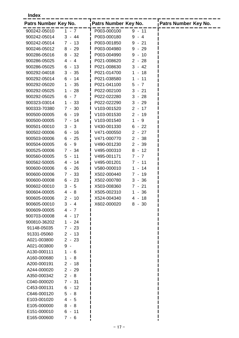**Index**

| Patrs Number Key No. |             | Patrs Number Key No. |                                      | <b>Patrs Number Key No.</b> |
|----------------------|-------------|----------------------|--------------------------------------|-----------------------------|
| 900242-05010         | 1 - 7       | P003-000100          | $9 - 11$                             |                             |
| 900242-05014         | $3 - 44$    | P003-000180          | 9<br>$-4$                            |                             |
| 900242-05014         | 13<br>$7 -$ | P003-001850          | 9<br>$-21$                           |                             |
| 900246-05012         | $8 - 29$    | P003-004980          | -29<br>9<br>$\overline{\phantom{a}}$ |                             |
| 900286-05016         | $8 - 32$    | P003-004990          | $-10$<br>9                           |                             |
| 900286-05025         | $4 - 4$     | P021-008620          | $-28$<br>$\overline{2}$              |                             |
| 900286-05025         | $6 - 13$    | P021-008630          | 3<br>$-42$                           |                             |
| 900292-04018         | $3 - 35$    | P021-014700          | $-18$<br>1                           |                             |
| 900292-05014         | $6 - 14$    | P021-038580          | 11<br>1<br>$\blacksquare$            |                             |
| 900292-05020         | $1 - 35$    | P021-041100          | 5<br>$-7$                            |                             |
| 900292-05025         | $1 - 28$    | P022-002100          | $3 - 21$                             |                             |
| 900292-05025         | $6 - 7$     | P022-022280          | $-28$<br>3                           |                             |
| 900323-03014         | $1 - 33$    | P022-022290          | $3 - 29$                             |                             |
| 900333-70380         | $7 - 30$    | V103-001520          | $2 - 17$                             |                             |
| 900500-00005         | $6 - 19$    | V103-001530          | $2 - 19$                             |                             |
| 900500-00005         | $7 - 14$    | V103-001540          | $\mathbf 1$<br>- 9                   |                             |
| 900501-00010         | $3 - 3$     | V430-001330          | $6 - 22$                             |                             |
| 900502-00006         | $6 - 16$    | V471-000550          | $2 - 27$                             |                             |
| 900503-00006         | $6 - 25$    | V471-000770          | $2 - 38$                             |                             |
| 900504-00005         | 9<br>$6 -$  | V490-001230          | $2 - 39$                             |                             |
| 900525-00006         | $7 - 34$    | V495-000310          | $8 - 12$                             |                             |
| 900560-00005         | $5 - 11$    | V495-001171          | $7 - 7$                              |                             |
| 900562-50005         | -14<br>4 -  | V495-001201          | $7 - 11$                             |                             |
| 900600-00006         | $6 - 26$    | V580-000010          | $-14$<br>1.                          |                             |
| 900600-00006         | $7 - 33$    | X502-000440          | $7 - 19$                             |                             |
| 900600-00008         | $6 - 23$    | X502-000780          | $3 - 36$                             |                             |
| 900602-00010         | $-5$<br>3   | X503-008360          | $7 - 21$                             |                             |
| 900604-00005         | $4 - 8$     | X505-002310          | $-36$<br>1                           |                             |
| 900605-00006         | $2 -$<br>10 | X524-004340          | $4 - 18$                             |                             |
| 900605-00010         | $3 - 4$     | X602-000020          | $8 - 30$                             |                             |
| 900609-00005         | $4 - 7$     |                      |                                      |                             |
| 900703-00008         | $4 - 17$    |                      |                                      |                             |
| 900810-36202         | $1 - 24$    |                      |                                      |                             |
| 91148-05035          | $7 - 23$    |                      |                                      |                             |
| 91331-05060          | $2 - 13$    |                      |                                      |                             |
| A021-003800          | $2 - 23$    |                      |                                      |                             |
| A021-003800          | 9 -         |                      |                                      |                             |
| A130-000111          | 1 - 6       |                      |                                      |                             |
| A160-000680          | $1 - 8$     |                      |                                      |                             |
| A200-000191          | $2 - 18$    |                      |                                      |                             |
| A244-000020          | $2 - 29$    |                      |                                      |                             |
| A350-000342          | $2 - 8$     |                      |                                      |                             |
| C040-000020          | $7 - 31$    |                      |                                      |                             |
| C453-000131          | $6 - 12$    |                      |                                      |                             |
| C646-000120          | $5 - 8$     |                      |                                      |                             |
| E103-001020          | $4 - 5$     |                      |                                      |                             |
| E105-000000          | $8 - 8$     |                      |                                      |                             |
| E151-000010          | $6 - 11$    |                      |                                      |                             |
| E165-000600          | $7 - 6$     |                      |                                      |                             |